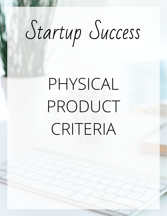# Startup Success

# PHYSICAL PRODUCT CRITERIA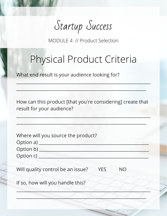Startup Success

MODULE 4 // Product Selection

## Physical Product Criteria

 $\sim$  , and a set of a set of a set of a set of a set of a set of a set of a set of a set of a set of a set of a

 $\mathcal{L} \to \mathcal{L}$  , where  $\mathcal{L} \to \mathcal{L}$  , we are assumed to the set of  $\mathcal{L}$  , we are assumed to the set of  $\mathcal{L}$ 

What end result is your audience looking for?

How can this product [that you're considering] create that result for your audience?

\_\_\_\_\_\_\_\_\_\_\_\_\_\_\_\_\_\_\_\_\_\_\_\_\_\_\_\_\_\_\_\_\_\_\_\_\_\_\_\_\_\_\_\_\_\_\_\_\_\_\_\_\_\_\_\_\_\_\_\_\_

\_\_\_\_\_\_\_\_\_\_\_\_\_\_\_\_\_\_\_\_\_\_\_\_\_\_\_\_\_\_\_\_\_\_\_\_\_\_\_\_\_\_\_\_\_\_\_\_\_\_\_\_\_\_\_\_\_\_\_

| Where will you source the product?                           |
|--------------------------------------------------------------|
| Option a) $\overline{\phantom{a}}$                           |
| Option b) _                                                  |
| Option c) _                                                  |
| Will quality control be an issue?<br><b>YES</b><br><b>NO</b> |
| If so, how will you handle this?                             |
|                                                              |
|                                                              |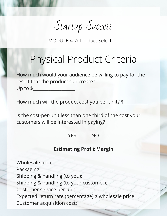Startup Success

MODULE 4 // Product Selection

#### Physical Product Criteria

How much would your audience be willing to pay for the result that the product can create? Up to  $$$ 

How much will the product cost you per unit? \$

Is the cost-per-unit less than one third of the cost your customers will be interested in paying?

YES NO

#### **Estimating Profit Margin**

Wholesale price: Packaging: Shipping & handling (to you): Shipping & handling (to your customer): Customer service per unit: Expected return rate (percentage) X wholesale price: Customer acquisition cost: